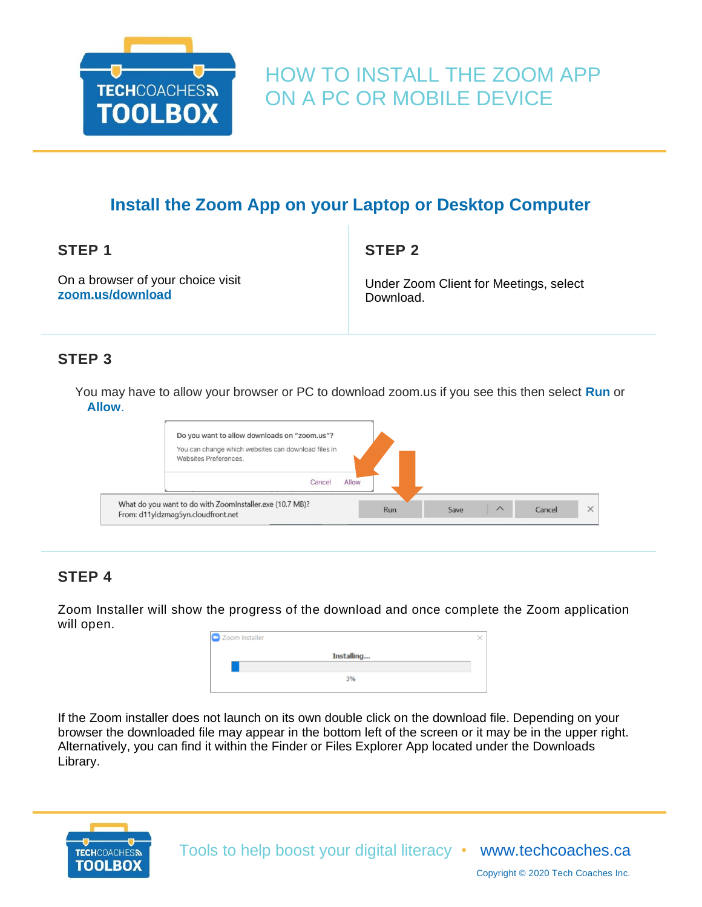

# HOW TO INSTALL THE ZOOM APP ON A PC OR MOBILE DEVICE

### **Install the Zoom App on your Laptop or Desktop Computer**

**STEP 1**

**STEP 2**

On a browser of your choice visit **[zoom.us/download](/Users/melindaferlin-tiller/Downloads/zoom.us/download)**

Under Zoom Client for Meetings, select Download.

### **STEP 3**

You may have to allow your browser or PC to download zoom.us if you see this then select **Run** or **Allow**.

| Do you want to allow downloads on "zoom.us"?<br>You can change which websites can download files in<br>Websites Preferences.<br>Allow<br>Cancel |     |      |          |        |  |
|-------------------------------------------------------------------------------------------------------------------------------------------------|-----|------|----------|--------|--|
| What do you want to do with ZoomInstaller.exe (10.7 MB)?<br>From: d11yldzmag5yn.cloudfront.net                                                  | Run | Save | $\wedge$ | Cancel |  |

### **STEP 4**

Zoom Installer will show the progress of the download and once complete the Zoom application will open.

| Zoom Installer |  |
|----------------|--|
| Installing     |  |
|                |  |
| 3%             |  |
|                |  |

If the Zoom installer does not launch on its own double click on the download file. Depending on your browser the downloaded file may appear in the bottom left of the screen or it may be in the upper right. Alternatively, you can find it within the Finder or Files Explorer App located under the Downloads Library.